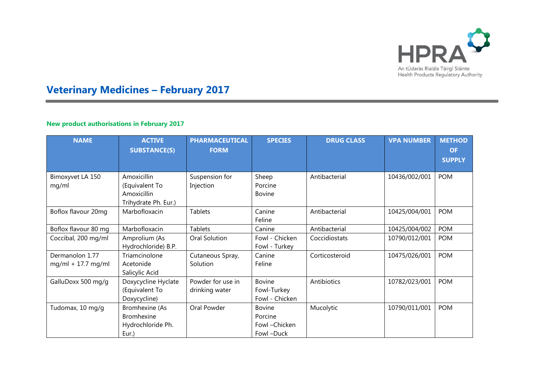

# **Veterinary Medicines – February 2017**

## **New product authorisations in February 2017**

| <b>NAME</b>                             | <b>ACTIVE</b><br><b>SUBSTANCE(S)</b>                                 | <b>PHARMACEUTICAL</b><br><b>FORM</b> | <b>SPECIES</b>                                          | <b>DRUG CLASS</b> | <b>VPA NUMBER</b> | <b>METHOD</b><br><b>OF</b><br><b>SUPPLY</b> |
|-----------------------------------------|----------------------------------------------------------------------|--------------------------------------|---------------------------------------------------------|-------------------|-------------------|---------------------------------------------|
| Bimoxyvet LA 150<br>mg/ml               | Amoxicillin<br>(Equivalent To<br>Amoxicillin<br>Trihydrate Ph. Eur.) | Suspension for<br>Injection          | Sheep<br>Porcine<br><b>Bovine</b>                       | Antibacterial     | 10436/002/001     | <b>POM</b>                                  |
| Boflox flavour 20mg                     | Marbofloxacin                                                        | <b>Tablets</b>                       | Canine<br>Feline                                        | Antibacterial     | 10425/004/001     | <b>POM</b>                                  |
| Boflox flavour 80 mg                    | Marbofloxacin                                                        | <b>Tablets</b>                       | Canine                                                  | Antibacterial     | 10425/004/002     | <b>POM</b>                                  |
| Coccibal, 200 mg/ml                     | Amprolium (As<br>Hydrochloride) B.P.                                 | Oral Solution                        | Fowl - Chicken<br>Fowl - Turkey                         | Coccidiostats     | 10790/012/001     | <b>POM</b>                                  |
| Dermanolon 1.77<br>$mg/ml + 17.7 mg/ml$ | Triamcinolone<br>Acetonide<br>Salicylic Acid                         | Cutaneous Spray,<br>Solution         | Canine<br>Feline                                        | Corticosteroid    | 10475/026/001     | <b>POM</b>                                  |
| GalluDoxx 500 mg/g                      | Doxycycline Hyclate<br>(Equivalent To<br>Doxycycline)                | Powder for use in<br>drinking water  | <b>Bovine</b><br>Fowl-Turkey<br>Fowl - Chicken          | Antibiotics       | 10782/023/001     | <b>POM</b>                                  |
| Tudomax, 10 mg/g                        | Bromhexine (As<br><b>Bromhexine</b><br>Hydrochloride Ph.<br>Eur.)    | Oral Powder                          | <b>Bovine</b><br>Porcine<br>Fowl - Chicken<br>Fowl-Duck | Mucolytic         | 10790/011/001     | <b>POM</b>                                  |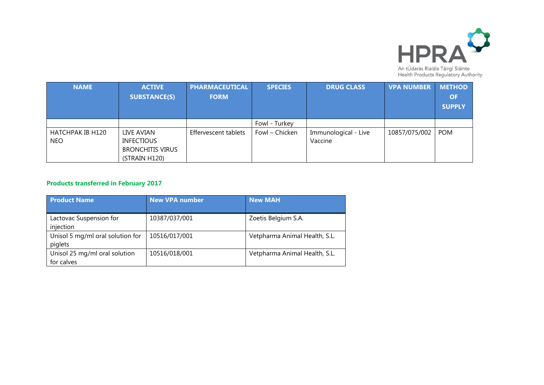

| <b>NAME</b>      | <b>ACTIVE</b>           | <b>PHARMACEUTICAL</b> | <b>SPECIES</b> | <b>DRUG CLASS</b>    | <b>VPA NUMBER</b> | <b>METHOD</b> |
|------------------|-------------------------|-----------------------|----------------|----------------------|-------------------|---------------|
|                  | <b>SUBSTANCE(S)</b>     | <b>FORM</b>           |                |                      |                   | <b>OF</b>     |
|                  |                         |                       |                |                      |                   | <b>SUPPLY</b> |
|                  |                         |                       |                |                      |                   |               |
|                  |                         |                       | Fowl - Turkey  |                      |                   |               |
| HATCHPAK IB H120 | LIVE AVIAN              | Effervescent tablets  | Fowl - Chicken | Immunological - Live | 10857/075/002     | <b>POM</b>    |
| <b>NEO</b>       | <b>INFECTIOUS</b>       |                       |                | Vaccine              |                   |               |
|                  | <b>BRONCHITIS VIRUS</b> |                       |                |                      |                   |               |
|                  | (STRAIN H120)           |                       |                |                      |                   |               |

# **Products transferred in February 2017**

| <b>Product Name</b>                         | <b>New VPA number</b> | <b>New MAH</b>                |
|---------------------------------------------|-----------------------|-------------------------------|
| Lactovac Suspension for<br>injection        | 10387/037/001         | Zoetis Belgium S.A.           |
| Unisol 5 mg/ml oral solution for<br>piglets | 10516/017/001         | Vetpharma Animal Health, S.L. |
| Unisol 25 mg/ml oral solution<br>for calves | 10516/018/001         | Vetpharma Animal Health, S.L. |